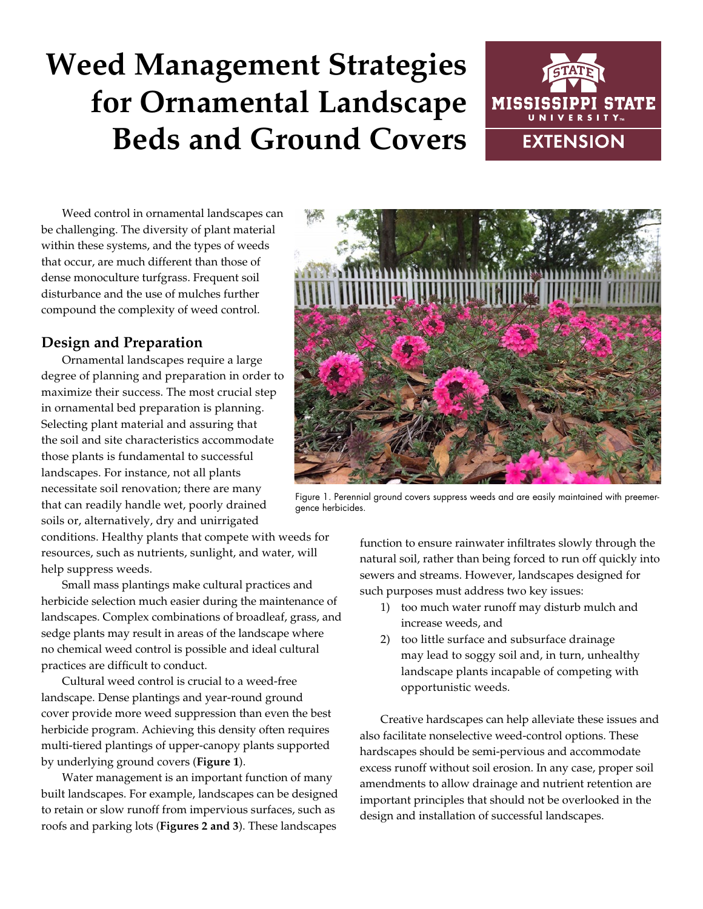# **Weed Management Strategies for Ornamental Landscape Beds and Ground Covers**



Weed control in ornamental landscapes can be challenging. The diversity of plant material within these systems, and the types of weeds that occur, are much different than those of dense monoculture turfgrass. Frequent soil disturbance and the use of mulches further compound the complexity of weed control.

## **Design and Preparation**

Ornamental landscapes require a large degree of planning and preparation in order to maximize their success. The most crucial step in ornamental bed preparation is planning. Selecting plant material and assuring that the soil and site characteristics accommodate those plants is fundamental to successful landscapes. For instance, not all plants necessitate soil renovation; there are many that can readily handle wet, poorly drained soils or, alternatively, dry and unirrigated

conditions. Healthy plants that compete with weeds for resources, such as nutrients, sunlight, and water, will help suppress weeds.

Small mass plantings make cultural practices and herbicide selection much easier during the maintenance of landscapes. Complex combinations of broadleaf, grass, and sedge plants may result in areas of the landscape where no chemical weed control is possible and ideal cultural practices are difficult to conduct.

Cultural weed control is crucial to a weed-free landscape. Dense plantings and year-round ground cover provide more weed suppression than even the best herbicide program. Achieving this density often requires multi-tiered plantings of upper-canopy plants supported by underlying ground covers (**Figure 1**).

Water management is an important function of many built landscapes. For example, landscapes can be designed to retain or slow runoff from impervious surfaces, such as roofs and parking lots (**Figures 2 and 3**). These landscapes



Figure 1. Perennial ground covers suppress weeds and are easily maintained with preemergence herbicides.

function to ensure rainwater infiltrates slowly through the natural soil, rather than being forced to run off quickly into sewers and streams. However, landscapes designed for such purposes must address two key issues:

- 1) too much water runoff may disturb mulch and increase weeds, and
- 2) too little surface and subsurface drainage may lead to soggy soil and, in turn, unhealthy landscape plants incapable of competing with opportunistic weeds.

Creative hardscapes can help alleviate these issues and also facilitate nonselective weed-control options. These hardscapes should be semi-pervious and accommodate excess runoff without soil erosion. In any case, proper soil amendments to allow drainage and nutrient retention are important principles that should not be overlooked in the design and installation of successful landscapes.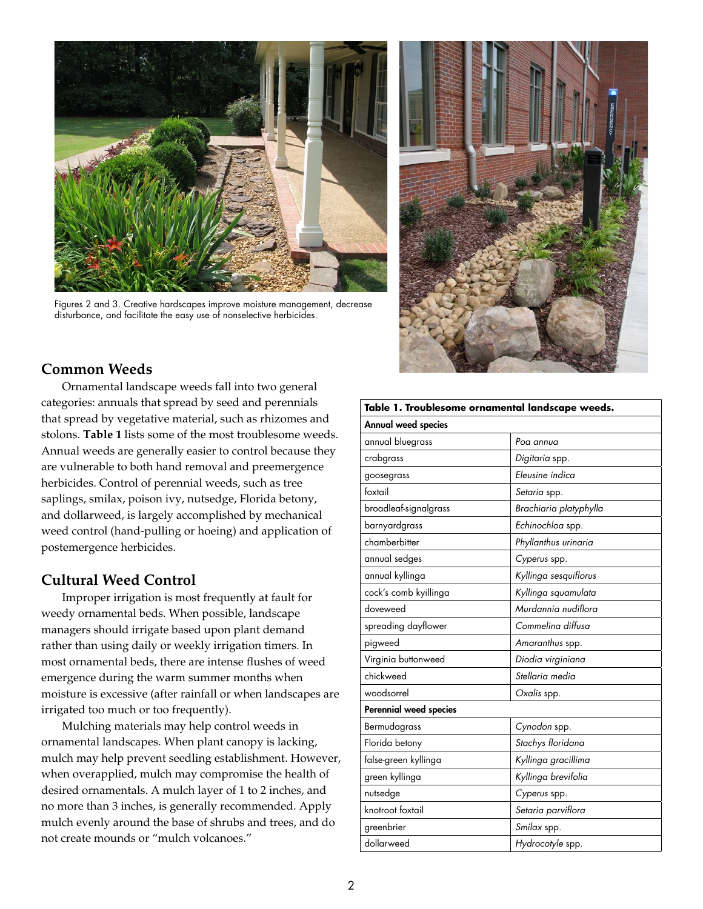

Figures 2 and 3. Creative hardscapes improve moisture management, decrease disturbance, and facilitate the easy use of nonselective herbicides.



# **Common Weeds**

Ornamental landscape weeds fall into two general categories: annuals that spread by seed and perennials that spread by vegetative material, such as rhizomes and stolons. **Table 1** lists some of the most troublesome weeds. Annual weeds are generally easier to control because they are vulnerable to both hand removal and preemergence herbicides. Control of perennial weeds, such as tree saplings, smilax, poison ivy, nutsedge, Florida betony, and dollarweed, is largely accomplished by mechanical weed control (hand-pulling or hoeing) and application of postemergence herbicides.

# **Cultural Weed Control**

Improper irrigation is most frequently at fault for weedy ornamental beds. When possible, landscape managers should irrigate based upon plant demand rather than using daily or weekly irrigation timers. In most ornamental beds, there are intense flushes of weed emergence during the warm summer months when moisture is excessive (after rainfall or when landscapes are irrigated too much or too frequently).

Mulching materials may help control weeds in ornamental landscapes. When plant canopy is lacking, mulch may help prevent seedling establishment. However, when overapplied, mulch may compromise the health of desired ornamentals. A mulch layer of 1 to 2 inches, and no more than 3 inches, is generally recommended. Apply mulch evenly around the base of shrubs and trees, and do not create mounds or "mulch volcanoes."

| Table 1. Troublesome ornamental landscape weeds. |                        |  |  |  |
|--------------------------------------------------|------------------------|--|--|--|
| Annual weed species                              |                        |  |  |  |
| annual bluegrass                                 | Poa annua              |  |  |  |
| crabgrass                                        | Digitaria spp.         |  |  |  |
| goosegrass                                       | Eleusine indica        |  |  |  |
| foxtail                                          | Setaria spp.           |  |  |  |
| broadleaf-signalgrass                            | Brachiaria platyphylla |  |  |  |
| barnyardgrass                                    | Echinochloa spp.       |  |  |  |
| chamberbitter                                    | Phyllanthus urinaria   |  |  |  |
| annual sedges                                    | Cyperus spp.           |  |  |  |
| annual kyllinga                                  | Kyllinga sesquiflorus  |  |  |  |
| cock's comb kyillinga                            | Kyllinga squamulata    |  |  |  |
| doveweed                                         | Murdannia nudiflora    |  |  |  |
| spreading dayflower                              | Commelina diffusa      |  |  |  |
| pigweed                                          | Amaranthus spp.        |  |  |  |
| Virginia buttonweed                              | Diodia virginiana      |  |  |  |
| chickweed                                        | Stellaria media        |  |  |  |
| woodsorrel                                       | Oxalis spp.            |  |  |  |
| <b>Perennial weed species</b>                    |                        |  |  |  |
| Bermudagrass                                     | Cynodon spp.           |  |  |  |
| Florida betony                                   | Stachys floridana      |  |  |  |
| false-green kyllinga                             | Kyllinga gracillima    |  |  |  |
| green kyllinga                                   | Kyllinga brevifolia    |  |  |  |
| nutsedge                                         | Cyperus spp.           |  |  |  |
| knotroot foxtail                                 | Setaria parviflora     |  |  |  |
| greenbrier                                       | Smilax spp.            |  |  |  |
| dollarweed                                       | Hydrocotyle spp.       |  |  |  |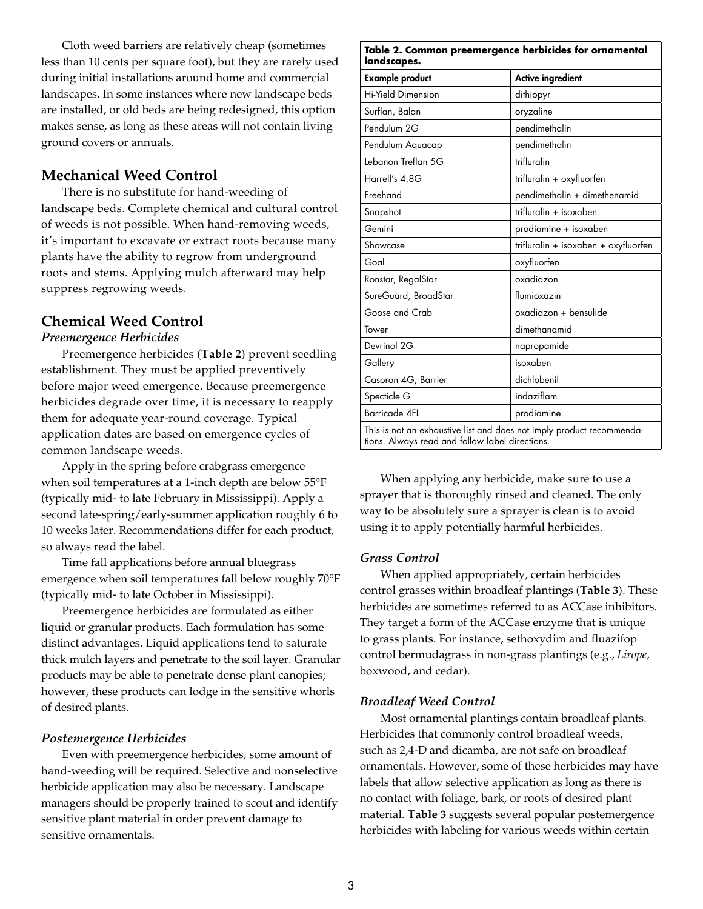Cloth weed barriers are relatively cheap (sometimes less than 10 cents per square foot), but they are rarely used during initial installations around home and commercial landscapes. In some instances where new landscape beds are installed, or old beds are being redesigned, this option makes sense, as long as these areas will not contain living ground covers or annuals.

## **Mechanical Weed Control**

There is no substitute for hand-weeding of landscape beds. Complete chemical and cultural control of weeds is not possible. When hand-removing weeds, it's important to excavate or extract roots because many plants have the ability to regrow from underground roots and stems. Applying mulch afterward may help suppress regrowing weeds.

## **Chemical Weed Control**

#### *Preemergence Herbicides*

Preemergence herbicides (**Table 2**) prevent seedling establishment. They must be applied preventively before major weed emergence. Because preemergence herbicides degrade over time, it is necessary to reapply them for adequate year-round coverage. Typical application dates are based on emergence cycles of common landscape weeds.

Apply in the spring before crabgrass emergence when soil temperatures at a 1-inch depth are below 55°F (typically mid- to late February in Mississippi). Apply a second late-spring/early-summer application roughly 6 to 10 weeks later. Recommendations differ for each product, so always read the label.

Time fall applications before annual bluegrass emergence when soil temperatures fall below roughly 70°F (typically mid- to late October in Mississippi).

Preemergence herbicides are formulated as either liquid or granular products. Each formulation has some distinct advantages. Liquid applications tend to saturate thick mulch layers and penetrate to the soil layer. Granular products may be able to penetrate dense plant canopies; however, these products can lodge in the sensitive whorls of desired plants.

#### *Postemergence Herbicides*

Even with preemergence herbicides, some amount of hand-weeding will be required. Selective and nonselective herbicide application may also be necessary. Landscape managers should be properly trained to scout and identify sensitive plant material in order prevent damage to sensitive ornamentals.

| <b>Example product</b>    | <b>Active ingredient</b>             |
|---------------------------|--------------------------------------|
| <b>Hi-Yield Dimension</b> | dithiopyr                            |
| Surflan, Balan            | oryzaline                            |
| Pendulum 2G               | pendimethalin                        |
| Pendulum Aquacap          | pendimethalin                        |
| Lebanon Treflan 5G        | trifluralin                          |
| Harrell's 4.8G            | trifluralin + oxyfluorfen            |
| Freehand                  | pendimethalin + dimethenamid         |
| Snapshot                  | trifluralin + isoxaben               |
| Gemini                    | prodiamine + isoxaben                |
| Showcase                  | trifluralin + isoxaben + oxyfluorfen |
| Goal                      | oxyfluorfen                          |
| Ronstar, RegalStar        | oxadiazon                            |
| SureGuard, BroadStar      | flumioxazin                          |
| Goose and Crab            | oxadiazon + bensulide                |
| Tower                     | dimethanamid                         |
| Devrinol 2G               | napropamide                          |
| Gallery                   | isoxaben                             |
| Casoron 4G, Barrier       | dichlobenil                          |
| Specticle G               | indaziflam                           |
| <b>Barricade 4FL</b>      | prodiamine                           |

When applying any herbicide, make sure to use a sprayer that is thoroughly rinsed and cleaned. The only way to be absolutely sure a sprayer is clean is to avoid using it to apply potentially harmful herbicides.

#### *Grass Control*

When applied appropriately, certain herbicides control grasses within broadleaf plantings (**Table 3**). These herbicides are sometimes referred to as ACCase inhibitors. They target a form of the ACCase enzyme that is unique to grass plants. For instance, sethoxydim and fluazifop control bermudagrass in non-grass plantings (e.g., *Lirope*, boxwood, and cedar).

#### *Broadleaf Weed Control*

Most ornamental plantings contain broadleaf plants. Herbicides that commonly control broadleaf weeds, such as 2,4-D and dicamba, are not safe on broadleaf ornamentals. However, some of these herbicides may have labels that allow selective application as long as there is no contact with foliage, bark, or roots of desired plant material. **Table 3** suggests several popular postemergence herbicides with labeling for various weeds within certain